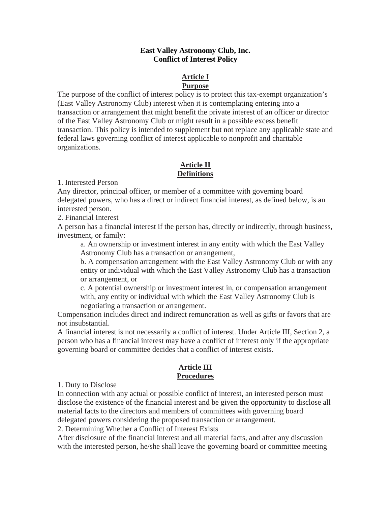#### **East Valley Astronomy Club, Inc. Conflict of Interest Policy**

# **Article I**

### **Purpose**

The purpose of the conflict of interest policy is to protect this tax-exempt organization's (East Valley Astronomy Club) interest when it is contemplating entering into a transaction or arrangement that might benefit the private interest of an officer or director of the East Valley Astronomy Club or might result in a possible excess benefit transaction. This policy is intended to supplement but not replace any applicable state and federal laws governing conflict of interest applicable to nonprofit and charitable organizations.

### **Article II Definitions**

1. Interested Person

Any director, principal officer, or member of a committee with governing board delegated powers, who has a direct or indirect financial interest, as defined below, is an interested person.

2. Financial Interest

A person has a financial interest if the person has, directly or indirectly, through business, investment, or family:

a. An ownership or investment interest in any entity with which the East Valley Astronomy Club has a transaction or arrangement,

b. A compensation arrangement with the East Valley Astronomy Club or with any entity or individual with which the East Valley Astronomy Club has a transaction or arrangement, or

c. A potential ownership or investment interest in, or compensation arrangement with, any entity or individual with which the East Valley Astronomy Club is negotiating a transaction or arrangement.

Compensation includes direct and indirect remuneration as well as gifts or favors that are not insubstantial.

A financial interest is not necessarily a conflict of interest. Under Article III, Section 2, a person who has a financial interest may have a conflict of interest only if the appropriate governing board or committee decides that a conflict of interest exists.

### **Article III Procedures**

1. Duty to Disclose

In connection with any actual or possible conflict of interest, an interested person must disclose the existence of the financial interest and be given the opportunity to disclose all material facts to the directors and members of committees with governing board delegated powers considering the proposed transaction or arrangement.

2. Determining Whether a Conflict of Interest Exists

After disclosure of the financial interest and all material facts, and after any discussion with the interested person, he/she shall leave the governing board or committee meeting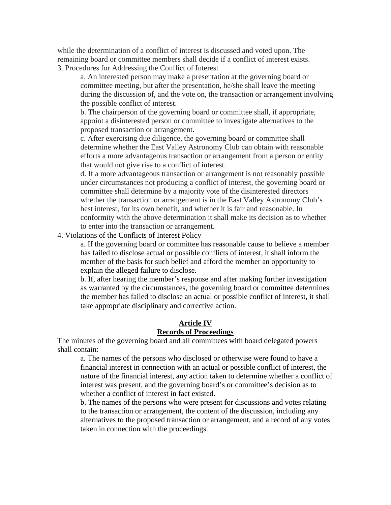while the determination of a conflict of interest is discussed and voted upon. The remaining board or committee members shall decide if a conflict of interest exists. 3. Procedures for Addressing the Conflict of Interest

a. An interested person may make a presentation at the governing board or committee meeting, but after the presentation, he/she shall leave the meeting during the discussion of, and the vote on, the transaction or arrangement involving the possible conflict of interest.

b. The chairperson of the governing board or committee shall, if appropriate, appoint a disinterested person or committee to investigate alternatives to the proposed transaction or arrangement.

c. After exercising due diligence, the governing board or committee shall determine whether the East Valley Astronomy Club can obtain with reasonable efforts a more advantageous transaction or arrangement from a person or entity that would not give rise to a conflict of interest.

d. If a more advantageous transaction or arrangement is not reasonably possible under circumstances not producing a conflict of interest, the governing board or committee shall determine by a majority vote of the disinterested directors whether the transaction or arrangement is in the East Valley Astronomy Club's best interest, for its own benefit, and whether it is fair and reasonable. In conformity with the above determination it shall make its decision as to whether to enter into the transaction or arrangement.

4. Violations of the Conflicts of Interest Policy

a. If the governing board or committee has reasonable cause to believe a member has failed to disclose actual or possible conflicts of interest, it shall inform the member of the basis for such belief and afford the member an opportunity to explain the alleged failure to disclose.

b. If, after hearing the member's response and after making further investigation as warranted by the circumstances, the governing board or committee determines the member has failed to disclose an actual or possible conflict of interest, it shall take appropriate disciplinary and corrective action.

### **Article IV Records of Proceedings**

The minutes of the governing board and all committees with board delegated powers shall contain:

a. The names of the persons who disclosed or otherwise were found to have a financial interest in connection with an actual or possible conflict of interest, the nature of the financial interest, any action taken to determine whether a conflict of interest was present, and the governing board's or committee's decision as to whether a conflict of interest in fact existed.

b. The names of the persons who were present for discussions and votes relating to the transaction or arrangement, the content of the discussion, including any alternatives to the proposed transaction or arrangement, and a record of any votes taken in connection with the proceedings.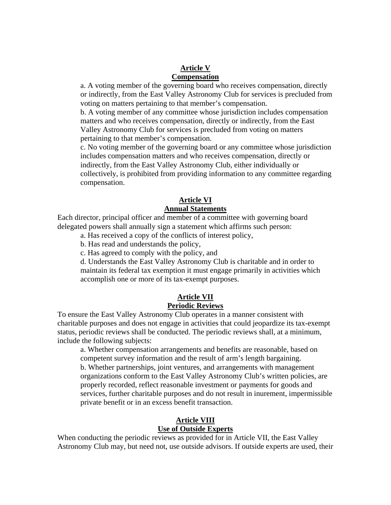# **Article V Compensation**

a. A voting member of the governing board who receives compensation, directly or indirectly, from the East Valley Astronomy Club for services is precluded from voting on matters pertaining to that member's compensation.

b. A voting member of any committee whose jurisdiction includes compensation matters and who receives compensation, directly or indirectly, from the East Valley Astronomy Club for services is precluded from voting on matters pertaining to that member's compensation.

c. No voting member of the governing board or any committee whose jurisdiction includes compensation matters and who receives compensation, directly or indirectly, from the East Valley Astronomy Club, either individually or collectively, is prohibited from providing information to any committee regarding compensation.

## **Article VI Annual Statements**

Each director, principal officer and member of a committee with governing board delegated powers shall annually sign a statement which affirms such person:

a. Has received a copy of the conflicts of interest policy,

b. Has read and understands the policy,

c. Has agreed to comply with the policy, and

d. Understands the East Valley Astronomy Club is charitable and in order to maintain its federal tax exemption it must engage primarily in activities which accomplish one or more of its tax-exempt purposes.

## **Article VII Periodic Reviews**

To ensure the East Valley Astronomy Club operates in a manner consistent with charitable purposes and does not engage in activities that could jeopardize its tax-exempt status, periodic reviews shall be conducted. The periodic reviews shall, at a minimum, include the following subjects:

a. Whether compensation arrangements and benefits are reasonable, based on competent survey information and the result of arm's length bargaining. b. Whether partnerships, joint ventures, and arrangements with management organizations conform to the East Valley Astronomy Club's written policies, are properly recorded, reflect reasonable investment or payments for goods and services, further charitable purposes and do not result in inurement, impermissible private benefit or in an excess benefit transaction.

#### **Article VIII Use of Outside Experts**

When conducting the periodic reviews as provided for in Article VII, the East Valley Astronomy Club may, but need not, use outside advisors. If outside experts are used, their